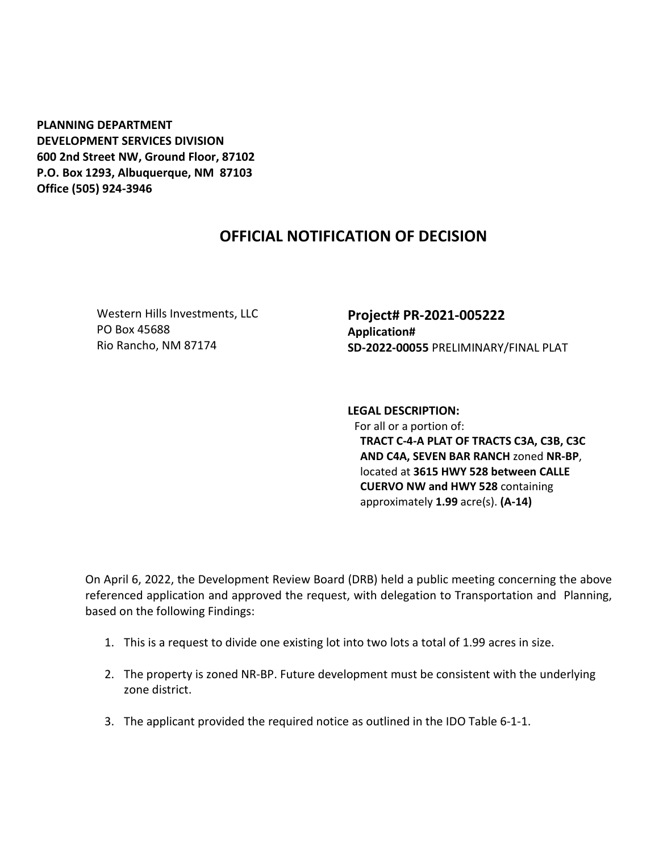**PLANNING DEPARTMENT DEVELOPMENT SERVICES DIVISION 600 2nd Street NW, Ground Floor, 87102 P.O. Box 1293, Albuquerque, NM 87103 Office (505) 924-3946** 

## **OFFICIAL NOTIFICATION OF DECISION**

Western Hills Investments, LLC PO Box 45688 Rio Rancho, NM 87174

**Project# PR-2021-005222 Application# SD-2022-00055** PRELIMINARY/FINAL PLAT

**LEGAL DESCRIPTION:** For all or a portion of: **TRACT C-4-A PLAT OF TRACTS C3A, C3B, C3C AND C4A, SEVEN BAR RANCH** zoned **NR-BP**, located at **3615 HWY 528 between CALLE CUERVO NW and HWY 528** containing approximately **1.99** acre(s). **(A-14)** 

On April 6, 2022, the Development Review Board (DRB) held a public meeting concerning the above referenced application and approved the request, with delegation to Transportation and Planning, based on the following Findings:

- 1. This is a request to divide one existing lot into two lots a total of 1.99 acres in size.
- 2. The property is zoned NR-BP. Future development must be consistent with the underlying zone district.
- 3. The applicant provided the required notice as outlined in the IDO Table 6-1-1.